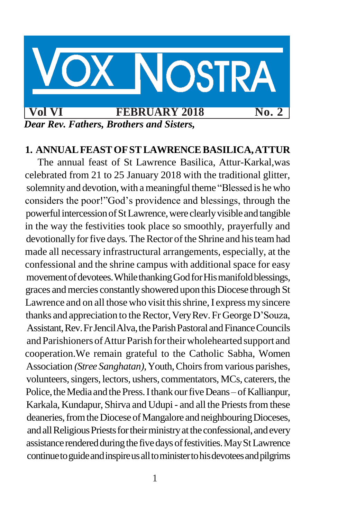

#### **1. ANNUALFEASTOFSTLAWRENCEBASILICA,ATTUR**

The annual feast of St Lawrence Basilica, Attur-Karkal,was celebrated from 21 to 25 January 2018 with the traditional glitter, solemnity and devotion, with a meaningful theme "Blessed is he who considers the poor!"God"s providence and blessings, through the powerful intercession of St Lawrence, were clearly visible and tangible in the way the festivities took place so smoothly, prayerfully and devotionally for five days. The Rector of the Shrine and his team had made all necessary infrastructural arrangements, especially, at the confessional and the shrine campus with additional space for easy movement of devotees. While thanking God for Hismanifold blessings, graces andmercies constantlyshowered upon this Diocese through St Lawrence and on all those who visit this shrine, I express my sincere thanks and appreciation to the Rector, Very Rev. Fr George D'Souza, Assistant,Rev.FrJencilAlva,theParishPastoral andFinanceCouncils and Parishioners of Attur Parish for their wholehearted support and cooperation.We remain grateful to the Catholic Sabha, Women Association *(Stree Sanghatan)*, Youth, Choirs from various parishes, volunteers, singers, lectors, ushers, commentators, MCs, caterers, the Police, the Media and the Press. I thank our five Deans – of Kallianpur, Karkala, Kundapur, Shirva and Udupi - and all the Priests from these deaneries, from the Diocese of Mangalore and neighbouring Dioceses, and all Religious Priests for their ministry at the confessional, and every assistance rendered during the five days of festivities. May St Lawrence continue to guide and inspire us all to minister to his devotees and pilgrims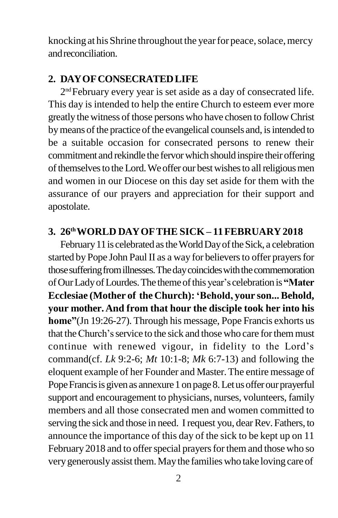knocking at his Shrine throughout the year for peace, solace, mercy andreconciliation.

#### **2. DAYOFCONSECRATEDLIFE**

2 ndFebruary every year is set aside as a day of consecrated life. This day is intended to help the entire Church to esteem ever more greatly the witness of those persons who have chosen to follow Christ by means of the practice of the evangelical counsels and, is intended to be a suitable occasion for consecrated persons to renew their commitment and rekindle the fervorwhich should inspire their offering of themselves to the Lord. We offer our best wishes to all religious men and women in our Diocese on this day set aside for them with the assurance of our prayers and appreciation for their support and apostolate.

#### **3. 26thWORLD DAYOFTHE SICK – 11FEBRUARY2018**

February 11 is celebrated as the World Day of the Sick, a celebration started by Pope John Paul II as a way for believers to offer prayers for those suffering from illnesses. The day coincides with the commemoration ofOurLadyofLourdes.The themeofthis year"s celebrationis**"Mater Ecclesiae (Mother of the Church):"Behold, your son...Behold, your mother. And from that hour the disciple took her into his home"**(Jn 19:26-27). Through his message, Pope Francis exhorts us that the Church's service to the sick and those who care for them must continue with renewed vigour, in fidelity to the Lord"s command(cf. *Lk* 9:2-6; *Mt* 10:1-8; *Mk* 6:7-13) and following the eloquent example of her Founder and Master.The entire message of Pope Francis is given as annexure 1 on page 8. Let us offer our prayerful support and encouragement to physicians, nurses, volunteers, family members and all those consecrated men and women committed to serving the sick and those in need. I request you, dear Rev. Fathers, to announce the importance of this day of the sick to be kept up on 11 February 2018 and to offer special prayers for them and those who so verygenerouslyassist them.Maythe familieswho take loving care of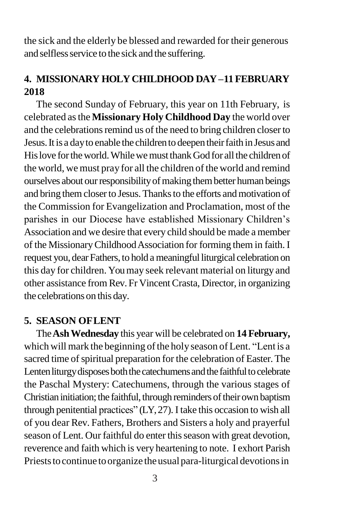the sick and the elderly be blessed and rewarded for their generous and selfless service to the sick and the suffering.

# **4. MISSIONARY HOLY CHILDHOOD DAY –11 FEBRUARY 2018**

The second Sunday of February, this year on 11th February, is celebrated asthe **Missionary Holy Childhood Day** the world over and the celebrations remind us of the need to bring children closer to Jesus. It is a day to enable the children to deepen their faith in Jesus and His love for the world. While we must thank God for all the children of the world, we must pray for all the children of the world and remind ourselves about our responsibility of making them better human beings and bring them closer to Jesus. Thanks to the efforts and motivation of the Commission for Evangelization and Proclamation, most of the parishes in our Diocese have established Missionary Children"s Association and we desire that every child should be made a member of the MissionaryChildhoodAssociation for forming them in faith. I request you, dear Fathers, to hold a meaningful liturgical celebration on this day for children. Youmay seek relevant material on liturgy and other assistance from Rev. Fr VincentCrasta, Director, in organizing the celebrations on this day.

### **5. SEASON OFLENT**

The**AshWednesday** this year will be celebrated on **14 February,**  which will mark the beginning of the holy season of Lent. "Lent is a sacred time of spiritual preparation for the celebration of Easter. The Lenten liturgy disposes both the catechumens and the faithful to celebrate the Paschal Mystery: Catechumens, through the various stages of Christian initiation; the faithful, through reminders of their own baptism through penitential practices" (LY,27). I take this occasion to wish all of you dear Rev. Fathers, Brothers and Sisters a holy and prayerful season of Lent. Our faithful do enter this season with great devotion, reverence and faith which is very heartening to note. I exhort Parish Priests to continue to organize the usual para-liturgical devotions in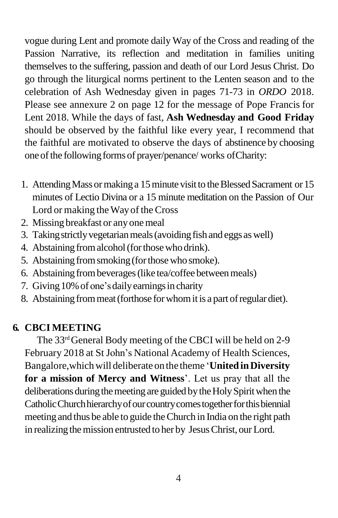vogue during Lent and promote daily Way of the Cross and reading of the Passion Narrative, its reflection and meditation in families uniting themselves to the suffering, passion and death of our Lord Jesus Christ. Do go through the liturgical norms pertinent to the Lenten season and to the celebration of Ash Wednesday given in pages 71-73 in *ORDO* 2018. Please see annexure 2 on page 12 for the message of Pope Francis for Lent 2018. While the days of fast, **Ash Wednesday and Good Friday** should be observed by the faithful like every year, I recommend that the faithful are motivated to observe the days of abstinence by choosing one of the following forms of prayer/penance/ works of Charity:

- 1. Attending Mass or making a 15 minute visit to the Blessed Sacrament or 15 minutes of Lectio Divina or a 15 minute meditation on the Passion of Our Lord or making the Way of the Cross
- 2. Missing breakfast or any onemeal
- 3. Taking strictly vegetarian meals (avoiding fish and eggs as well)
- 4. Abstaining from alcohol (for those who drink).
- 5. Abstaining from smoking (for those who smoke).
- 6. Abstaining from beverages (like tea/coffee between meals)
- 7. Giving 10% of one's daily earnings in charity
- 8. Abstaining from meat (forthose for whom it is a part of regular diet).

# **6. CBCI MEETING**

The 33<sup>rd</sup>General Body meeting of the CBCI will be held on 2-9 February 2018 at St John"s National Academy of Health Sciences, Bangalore,whichwill deliberate on the theme "**UnitedinDiversity for a mission of Mercy and Witness**". Let us pray that all the deliberations during the meeting are guided by the Holy Spirit when the Catholic Church hierarchy of our country comes together for this biennial meeting and thus be able to guide theChurch in India on the right path in realizing the mission entrusted to her by Jesus Christ, our Lord.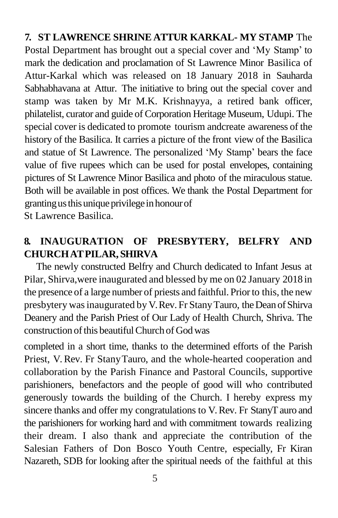**7. ST LAWRENCE SHRINE ATTUR KARKAL- MY STAMP** The Postal Department has brought out a special cover and "My Stamp" to mark the dedication and proclamation of St Lawrence Minor Basilica of Attur-Karkal which was released on 18 January 2018 in Sauharda Sabhabhavana at Attur. The initiative to bring out the special cover and stamp was taken by Mr M.K. Krishnayya, a retired bank officer, philatelist, curator and guide of Corporation Heritage Museum, Udupi. The special cover is dedicated to promote tourism andcreate awareness of the history of the Basilica. It carries a picture of the front view of the Basilica and statue of St Lawrence. The personalized "My Stamp" bears the face value of five rupees which can be used for postal envelopes, containing pictures of St Lawrence Minor Basilica and photo of the miraculous statue. Both will be available in post offices. We thank the Postal Department for granting us this unique privilege in honour of

St Lawrence Basilica.

# **8. INAUGURATION OF PRESBYTERY, BELFRY AND CHURCHATPILAR, SHIRVA**

The newly constructed Belfry and Church dedicated to Infant Jesus at Pilar, Shirva,were inaugurated and blessed by me on 02 January 2018 in the presence of a large number of priests and faithful. Priorto this, the new presbytery was inaugurated by V.Rev. Fr Stany Tauro, the Dean of Shirva Deanery and the Parish Priest of Our Lady of Health Church, Shriva. The construction of this beautiful Church of God was

completed in a short time, thanks to the determined efforts of the Parish Priest, V. Rev. Fr StanyTauro, and the whole-hearted cooperation and collaboration by the Parish Finance and Pastoral Councils, supportive parishioners, benefactors and the people of good will who contributed generously towards the building of the Church. I hereby express my sincere thanks and offer my congratulations to V.Rev. Fr StanyTauro and the parishioners for working hard and with commitment towards realizing their dream. I also thank and appreciate the contribution of the Salesian Fathers of Don Bosco Youth Centre, especially, Fr Kiran Nazareth, SDB for looking after the spiritual needs of the faithful at this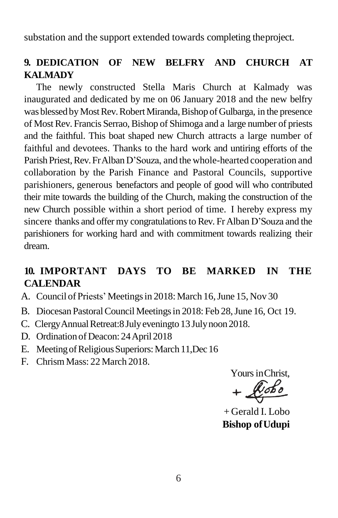substation and the support extended towards completing theproject.

### **9. DEDICATION OF NEW BELFRY AND CHURCH AT KALMADY**

The newly constructed Stella Maris Church at Kalmady was inaugurated and dedicated by me on 06 January 2018 and the new belfry was blessed by Most Rev. Robert Miranda, Bishop of Gulbarga, in the presence of Most Rev. Francis Serrao, Bishop of Shimoga and a large number of priests and the faithful. This boat shaped new Church attracts a large number of faithful and devotees. Thanks to the hard work and untiring efforts of the Parish Priest, Rev. Fr Alban D'Souza, and the whole-hearted cooperation and collaboration by the Parish Finance and Pastoral Councils, supportive parishioners, generous benefactors and people of good will who contributed their mite towards the building of the Church, making the construction of the new Church possible within a short period of time. I hereby express my sincere thanks and offer my congratulations to Rev. Fr Alban D'Souza and the parishioners for working hard and with commitment towards realizing their dream.

#### **10. IMPORTANT DAYS TO BE MARKED IN THE CALENDAR**

- A. Council of Priests' Meetings in 2018: March 16, June 15, Nov 30
- B. Diocesan Pastoral Council Meetings in 2018: Feb 28, June 16, Oct 19.
- C. Clergy Annual Retreat: 8 July evening to 13 July noon 2018.
- D. Ordination of Deacon: 24April 2018
- E. Meeting of Religious Superiors: March 11, Dec 16
- F. Chrism Mass: 22 March 2018.

Yours inChrist,

+ Gerald I. Lobo **Bishop ofUdupi**